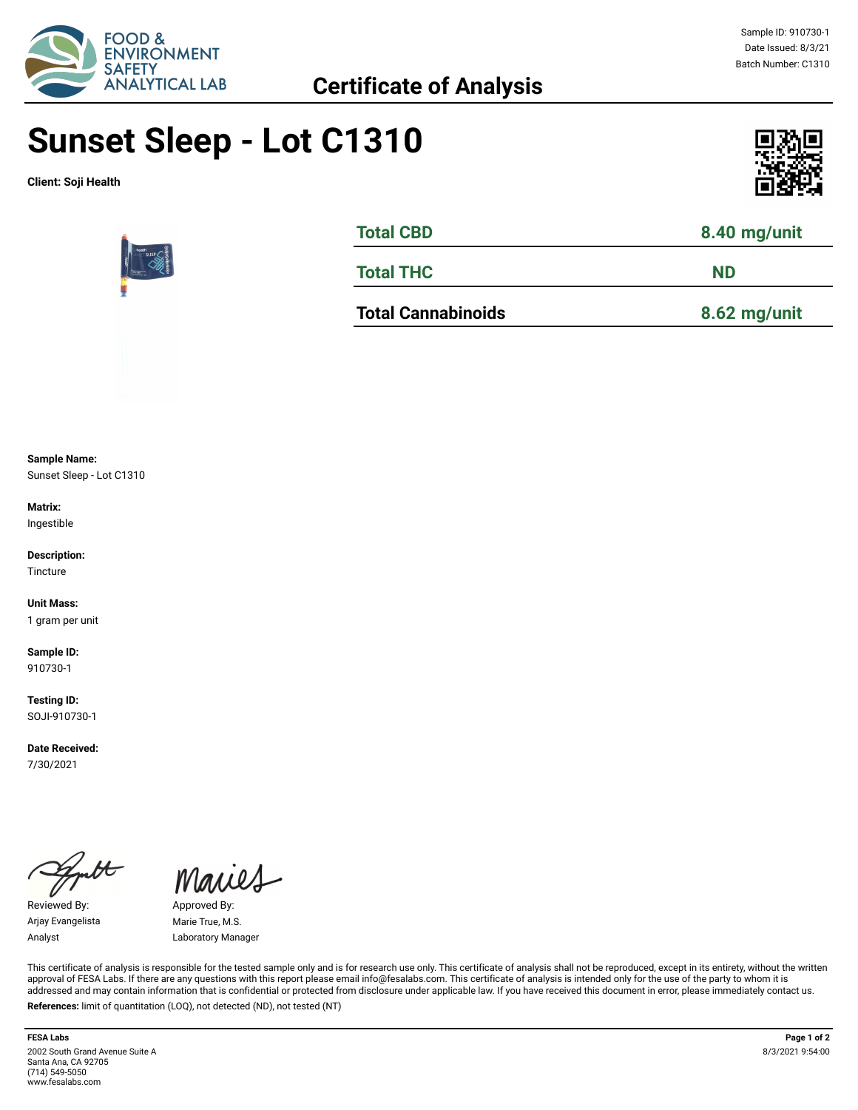

## **Sunset Sleep - Lot C1310**

**Client: Soji Health**





| <b>Total CBD</b>          | 8.40 mg/unit |  |  |
|---------------------------|--------------|--|--|
| <b>Total THC</b>          | <b>ND</b>    |  |  |
| <b>Total Cannabinoids</b> | 8.62 mg/unit |  |  |

**Sample Name:** 

Sunset Sleep - Lot C1310

**Matrix:** Ingestible

**Description:** Tincture

**Unit Mass:**  1 gram per unit

**Sample ID:**  910730-1

**Testing ID:**  SOJI-910730-1

**Date Received:**  7/30/2021

Reviewed By: Approved By: Arjay Evangelista Marie True, M.S.

Maries

Analyst Laboratory Manager

This certificate of analysis is responsible for the tested sample only and is for research use only. This certificate of analysis shall not be reproduced, except in its entirety, without the written approval of FESA Labs. If there are any questions with this report please email info@fesalabs.com. This certificate of analysis is intended only for the use of the party to whom it is addressed and may contain information that is confidential or protected from disclosure under applicable law. If you have received this document in error, please immediately contact us. **References:** limit of quantitation (LOQ), not detected (ND), not tested (NT)

2002 South Grand Avenue Suite A Santa Ana, CA 92705 (714) 549-5050 www.fesalabs.com